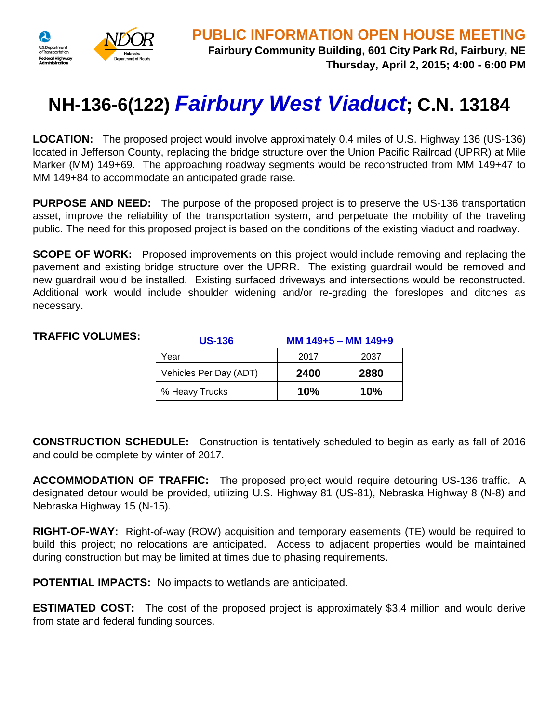

## **NH-136-6(122)** *Fairbury West Viaduct***; C.N. 13184**

**LOCATION:** The proposed project would involve approximately 0.4 miles of U.S. Highway 136 (US-136) located in Jefferson County, replacing the bridge structure over the Union Pacific Railroad (UPRR) at Mile Marker (MM) 149+69. The approaching roadway segments would be reconstructed from MM 149+47 to MM 149+84 to accommodate an anticipated grade raise.

**PURPOSE AND NEED:** The purpose of the proposed project is to preserve the US-136 transportation asset, improve the reliability of the transportation system, and perpetuate the mobility of the traveling public. The need for this proposed project is based on the conditions of the existing viaduct and roadway.

**SCOPE OF WORK:** Proposed improvements on this project would include removing and replacing the pavement and existing bridge structure over the UPRR. The existing guardrail would be removed and new guardrail would be installed. Existing surfaced driveways and intersections would be reconstructed. Additional work would include shoulder widening and/or re-grading the foreslopes and ditches as necessary.

## **TRAFFIC VOLUMES:**

| <b>US-136</b>          | MM 149+5 - MM 149+9 |      |
|------------------------|---------------------|------|
| Year                   | 2017                | 2037 |
| Vehicles Per Day (ADT) | 2400                | 2880 |
| % Heavy Trucks         | 10%                 | 10%  |

**CONSTRUCTION SCHEDULE:** Construction is tentatively scheduled to begin as early as fall of 2016 and could be complete by winter of 2017.

**ACCOMMODATION OF TRAFFIC:** The proposed project would require detouring US-136 traffic. A designated detour would be provided, utilizing U.S. Highway 81 (US-81), Nebraska Highway 8 (N-8) and Nebraska Highway 15 (N-15).

**RIGHT-OF-WAY:** Right-of-way (ROW) acquisition and temporary easements (TE) would be required to build this project; no relocations are anticipated. Access to adjacent properties would be maintained during construction but may be limited at times due to phasing requirements.

**POTENTIAL IMPACTS:** No impacts to wetlands are anticipated.

**ESTIMATED COST:** The cost of the proposed project is approximately \$3.4 million and would derive from state and federal funding sources.